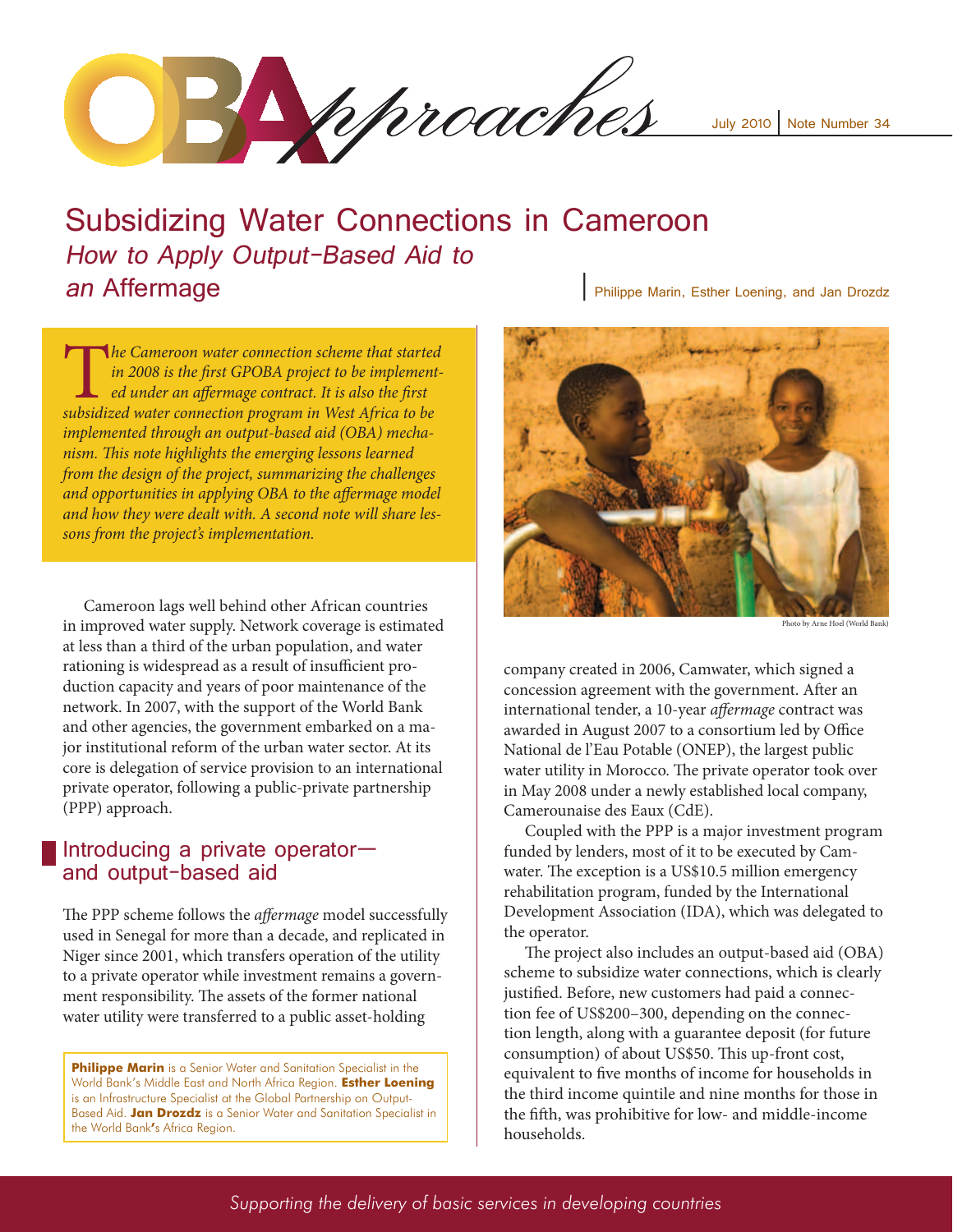Phiproaches

July 2010 Note Number 34

# Subsidizing Water Connections in Cameroon How to Apply Output-Based Aid to an Affermage **<sup>|</sup>** Philippe Marin, Esther Loening, and Jan Drozdz

**The Cameroon water connection scheme that started in 2008 is the first GPOBA project to be implement-**<br> **ed under an affermage contract. It is also the first**<br>
subsidized water connection program in West Africa to be *in 2008 is the first GPOBA project to be implemented under an affermage contract. It is also the first implemented through an output-based aid (OBA) mechanism. This note highlights the emerging lessons learned from the design of the project, summarizing the challenges and opportunities in applying OBA to the affermage model and how they were dealt with. A second note will share lessons from the project's implementation.* 

Cameroon lags well behind other African countries in improved water supply. Network coverage is estimated at less than a third of the urban population, and water rationing is widespread as a result of insufficient production capacity and years of poor maintenance of the network. In 2007, with the support of the World Bank and other agencies, the government embarked on a major institutional reform of the urban water sector. At its core is delegation of service provision to an international private operator, following a public-private partnership (PPP) approach.

### Introducing a private operator and output-based aid

The PPP scheme follows the *affermage* model successfully used in Senegal for more than a decade, and replicated in Niger since 2001, which transfers operation of the utility to a private operator while investment remains a government responsibility. The assets of the former national water utility were transferred to a public asset-holding

**Philippe Marin** is a Senior Water and Sanitation Specialist in the World Bank's Middle East and North Africa Region. **Esther Loening**  is an Infrastructure Specialist at the Global Partnership on Output-Based Aid. **Jan Drozdz** is a Senior Water and Sanitation Specialist in the World Bank**'**s Africa Region.



Photo by Arne Hoel (World Bank)

company created in 2006, Camwater, which signed a concession agreement with the government. After an international tender, a 10-year *affermage* contract was awarded in August 2007 to a consortium led by Office National de l'Eau Potable (ONEP), the largest public water utility in Morocco. The private operator took over in May 2008 under a newly established local company, Camerounaise des Eaux (CdE).

Coupled with the PPP is a major investment program funded by lenders, most of it to be executed by Camwater. The exception is a US\$10.5 million emergency rehabilitation program, funded by the International Development Association (IDA), which was delegated to the operator.

The project also includes an output-based aid (OBA) scheme to subsidize water connections, which is clearly justified. Before, new customers had paid a connection fee of US\$200–300, depending on the connection length, along with a guarantee deposit (for future consumption) of about US\$50. This up-front cost, equivalent to five months of income for households in the third income quintile and nine months for those in the fifth, was prohibitive for low- and middle-income households.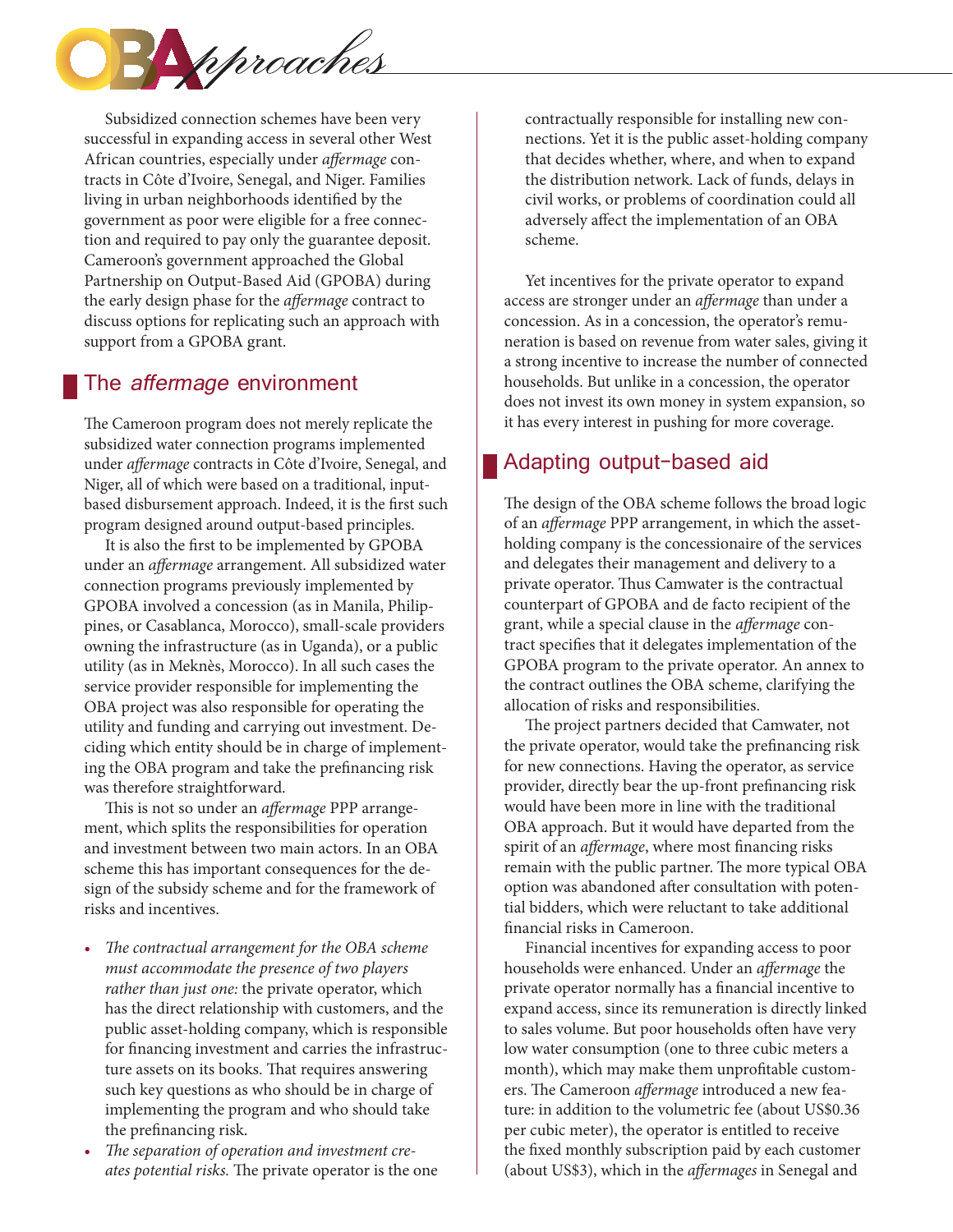

Subsidized connection schemes have been very successful in expanding access in several other West African countries, especially under *affermage* contracts in Côte d'Ivoire, Senegal, and Niger. Families living in urban neighborhoods identified by the government as poor were eligible for a free connection and required to pay only the guarantee deposit. Cameroon's government approached the Global Partnership on Output-Based Aid (GPOBA) during the early design phase for the *affermage* contract to discuss options for replicating such an approach with support from a GPOBA grant.

# The *affermage* environment

The Cameroon program does not merely replicate the subsidized water connection programs implemented under *affermage* contracts in Côte d'Ivoire, Senegal, and Niger, all of which were based on a traditional, inputbased disbursement approach. Indeed, it is the first such program designed around output-based principles.

It is also the first to be implemented by GPOBA under an *affermage* arrangement. All subsidized water connection programs previously implemented by GPOBA involved a concession (as in Manila, Philippines, or Casablanca, Morocco), small-scale providers owning the infrastructure (as in Uganda), or a public utility (as in Meknès, Morocco). In all such cases the service provider responsible for implementing the OBA project was also responsible for operating the utility and funding and carrying out investment. Deciding which entity should be in charge of implementing the OBA program and take the prefinancing risk was therefore straightforward.

This is not so under an *affermage* PPP arrangement, which splits the responsibilities for operation and investment between two main actors. In an OBA scheme this has important consequences for the design of the subsidy scheme and for the framework of risks and incentives.

- • *The contractual arrangement for the OBA scheme must accommodate the presence of two players rather than just one:* the private operator, which has the direct relationship with customers, and the public asset-holding company, which is responsible for financing investment and carries the infrastructure assets on its books. That requires answering such key questions as who should be in charge of implementing the program and who should take the prefinancing risk.
- The separation of operation and investment cre*ates potential risks.* The private operator is the one

contractually responsible for installing new connections. Yet it is the public asset-holding company that decides whether, where, and when to expand the distribution network. Lack of funds, delays in civil works, or problems of coordination could all adversely affect the implementation of an OBA scheme.

Yet incentives for the private operator to expand access are stronger under an *affermage* than under a concession. As in a concession, the operator's remuneration is based on revenue from water sales, giving it a strong incentive to increase the number of connected households. But unlike in a concession, the operator does not invest its own money in system expansion, so it has every interest in pushing for more coverage.

# Adapting output-based aid

The design of the OBA scheme follows the broad logic of an *affermage* PPP arrangement, in which the assetholding company is the concessionaire of the services and delegates their management and delivery to a private operator. Thus Camwater is the contractual counterpart of GPOBA and de facto recipient of the grant, while a special clause in the *affermage* contract specifies that it delegates implementation of the GPOBA program to the private operator. An annex to the contract outlines the OBA scheme, clarifying the allocation of risks and responsibilities.

The project partners decided that Camwater, not the private operator, would take the prefinancing risk for new connections. Having the operator, as service provider, directly bear the up-front prefinancing risk would have been more in line with the traditional OBA approach. But it would have departed from the spirit of an *affermage*, where most financing risks remain with the public partner. The more typical OBA option was abandoned after consultation with potential bidders, which were reluctant to take additional financial risks in Cameroon.

Financial incentives for expanding access to poor households were enhanced. Under an *affermage* the private operator normally has a financial incentive to expand access, since its remuneration is directly linked to sales volume. But poor households often have very low water consumption (one to three cubic meters a month), which may make them unprofitable customers. The Cameroon *affermage* introduced a new feature: in addition to the volumetric fee (about US\$0.36 per cubic meter), the operator is entitled to receive the fixed monthly subscription paid by each customer (about US\$3), which in the *affermages* in Senegal and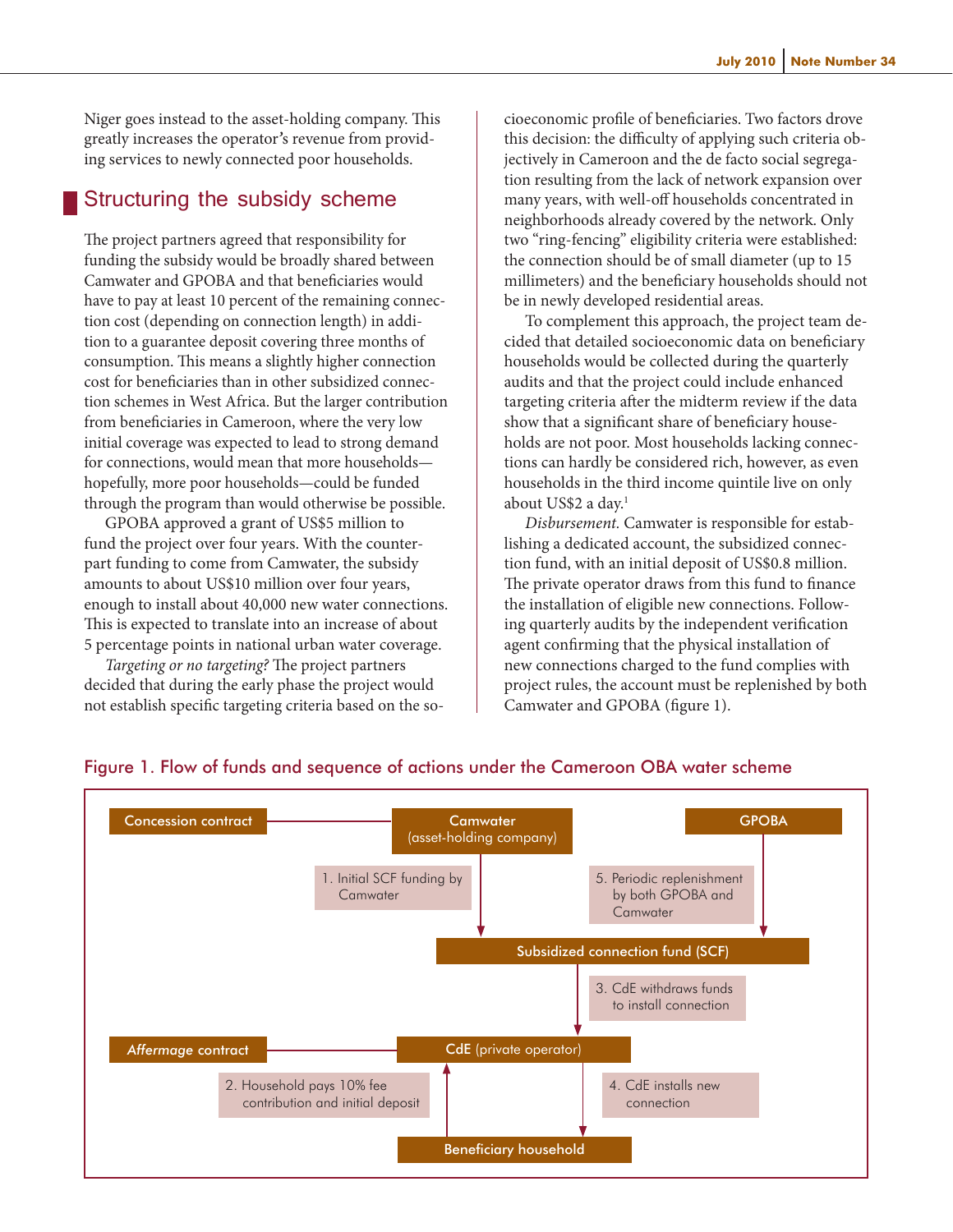Niger goes instead to the asset-holding company. This greatly increases the operator*'*s revenue from providing services to newly connected poor households.

# Structuring the subsidy scheme

The project partners agreed that responsibility for funding the subsidy would be broadly shared between Camwater and GPOBA and that beneficiaries would have to pay at least 10 percent of the remaining connection cost (depending on connection length) in addition to a guarantee deposit covering three months of consumption. This means a slightly higher connection cost for beneficiaries than in other subsidized connection schemes in West Africa. But the larger contribution from beneficiaries in Cameroon, where the very low initial coverage was expected to lead to strong demand for connections, would mean that more households hopefully, more poor households—could be funded through the program than would otherwise be possible.

GPOBA approved a grant of US\$5 million to fund the project over four years. With the counterpart funding to come from Camwater, the subsidy amounts to about US\$10 million over four years, enough to install about 40,000 new water connections. This is expected to translate into an increase of about 5 percentage points in national urban water coverage.

*Targeting or no targeting?* The project partners decided that during the early phase the project would not establish specific targeting criteria based on the socioeconomic profile of beneficiaries. Two factors drove this decision: the difficulty of applying such criteria objectively in Cameroon and the de facto social segregation resulting from the lack of network expansion over many years, with well-off households concentrated in neighborhoods already covered by the network. Only two "ring-fencing" eligibility criteria were established: the connection should be of small diameter (up to 15 millimeters) and the beneficiary households should not be in newly developed residential areas.

To complement this approach, the project team decided that detailed socioeconomic data on beneficiary households would be collected during the quarterly audits and that the project could include enhanced targeting criteria after the midterm review if the data show that a significant share of beneficiary households are not poor. Most households lacking connections can hardly be considered rich, however, as even households in the third income quintile live on only about US\$2 a day.<sup>1</sup>

*Disbursement.* Camwater is responsible for establishing a dedicated account, the subsidized connection fund, with an initial deposit of US\$0.8 million. The private operator draws from this fund to finance the installation of eligible new connections. Following quarterly audits by the independent verification agent confirming that the physical installation of new connections charged to the fund complies with project rules, the account must be replenished by both Camwater and GPOBA (figure 1).



#### Figure 1. Flow of funds and sequence of actions under the Cameroon OBA water scheme